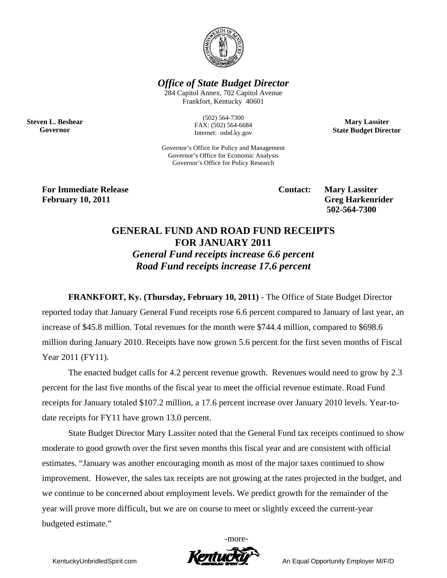

*Office of State Budget Director* 

284 Capitol Annex, 702 Capitol Avenue Frankfort, Kentucky 40601

> (502) 564-7300 FAX: (502) 564-6684 Internet: osbd.ky.gov

Governor's Office for Policy and Management Governor's Office for Economic Analysis Governor's Office for Policy Research

**Mary Lassiter State Budget Director** 

**For Immediate Release Service Service Contact: Mary Lassiter February 10, 2011** Greg Harkenrider **Greg Harkenrider Greg Harkenrider Greg Harkenrider** 

**Steven L. Beshear Governor** 

 **502-564-7300** 

## **GENERAL FUND AND ROAD FUND RECEIPTS FOR JANUARY 2011**

*General Fund receipts increase 6.6 percent Road Fund receipts increase 17.6 percent* 

**FRANKFORT, Ky. (Thursday, February 10, 2011)** - The Office of State Budget Director

reported today that January General Fund receipts rose 6.6 percent compared to January of last year, an increase of \$45.8 million. Total revenues for the month were \$744.4 million, compared to \$698.6 million during January 2010. Receipts have now grown 5.6 percent for the first seven months of Fiscal Year 2011 (FY11).

The enacted budget calls for 4.2 percent revenue growth. Revenues would need to grow by 2.3 percent for the last five months of the fiscal year to meet the official revenue estimate. Road Fund receipts for January totaled \$107.2 million, a 17.6 percent increase over January 2010 levels. Year-todate receipts for FY11 have grown 13.0 percent.

State Budget Director Mary Lassiter noted that the General Fund tax receipts continued to show moderate to good growth over the first seven months this fiscal year and are consistent with official estimates. "January was another encouraging month as most of the major taxes continued to show improvement. However, the sales tax receipts are not growing at the rates projected in the budget, and we continue to be concerned about employment levels. We predict growth for the remainder of the year will prove more difficult, but we are on course to meet or slightly exceed the current-year budgeted estimate."

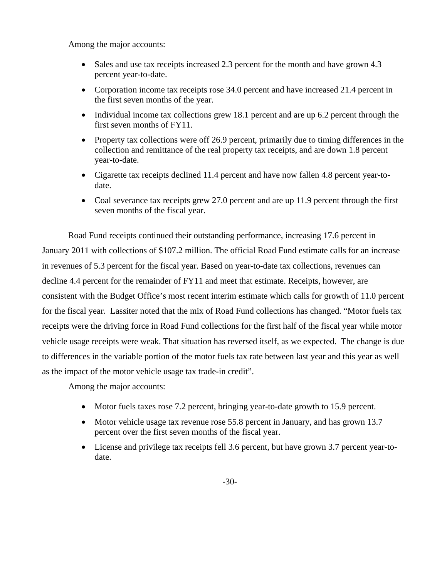Among the major accounts:

- Sales and use tax receipts increased 2.3 percent for the month and have grown 4.3 percent year-to-date.
- Corporation income tax receipts rose 34.0 percent and have increased 21.4 percent in the first seven months of the year.
- Individual income tax collections grew 18.1 percent and are up 6.2 percent through the first seven months of FY11.
- Property tax collections were off 26.9 percent, primarily due to timing differences in the collection and remittance of the real property tax receipts, and are down 1.8 percent year-to-date.
- Cigarette tax receipts declined 11.4 percent and have now fallen 4.8 percent year-todate.
- Coal severance tax receipts grew 27.0 percent and are up 11.9 percent through the first seven months of the fiscal year.

Road Fund receipts continued their outstanding performance, increasing 17.6 percent in January 2011 with collections of \$107.2 million. The official Road Fund estimate calls for an increase in revenues of 5.3 percent for the fiscal year. Based on year-to-date tax collections, revenues can decline 4.4 percent for the remainder of FY11 and meet that estimate. Receipts, however, are consistent with the Budget Office's most recent interim estimate which calls for growth of 11.0 percent for the fiscal year. Lassiter noted that the mix of Road Fund collections has changed. "Motor fuels tax receipts were the driving force in Road Fund collections for the first half of the fiscal year while motor vehicle usage receipts were weak. That situation has reversed itself, as we expected. The change is due to differences in the variable portion of the motor fuels tax rate between last year and this year as well as the impact of the motor vehicle usage tax trade-in credit".

Among the major accounts:

- Motor fuels taxes rose 7.2 percent, bringing year-to-date growth to 15.9 percent.
- Motor vehicle usage tax revenue rose 55.8 percent in January, and has grown 13.7 percent over the first seven months of the fiscal year.
- License and privilege tax receipts fell 3.6 percent, but have grown 3.7 percent year-todate.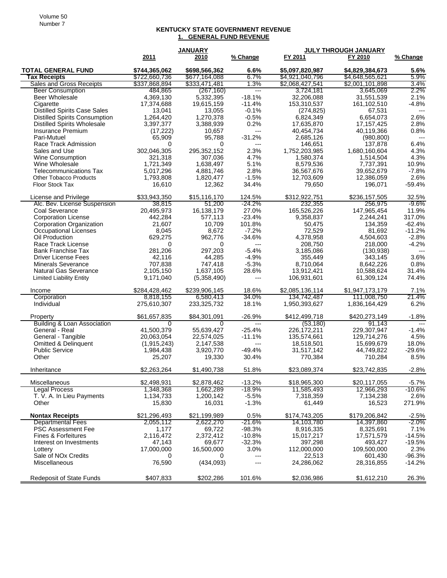## **KENTUCKY STATE GOVERNMENT REVENUE 1. GENERAL FUND REVENUE**

|                                                       |                            | <b>JANUARY</b>          |                 | JULY THROUGH JANUARY        |                           |                          |
|-------------------------------------------------------|----------------------------|-------------------------|-----------------|-----------------------------|---------------------------|--------------------------|
|                                                       | 2011                       | 2010                    | % Change        | FY 2011                     | FY 2010                   | % Change                 |
| <b>TOTAL GENERAL FUND</b>                             | \$744,365,062              | \$698,566,362           | 6.6%            | \$5,097,820,987             | \$4,829,384,673           | 5.6%                     |
| <b>Tax Receipts</b>                                   | \$722,660,736              | \$677,164,088           | 6.7%            | \$4,921,040,796             | \$4,648,565,621           | 5.9%                     |
| Sales and Gross Receipts                              | \$337,868,894              | \$333,471,481           | 1.3%            | \$2,068,427,541             | \$2,001,101,898           | $3.4\%$                  |
| <b>Beer Consumption</b>                               | 484,865                    | (267, 160)              | $---$           | 3,724,181                   | 3,645,069                 | 2.2%                     |
| Beer Wholesale                                        | 4,369,130                  | 5,332,395               | $-18.1%$        | 32,206,088                  | 31,551,539                | 2.1%                     |
| Cigarette                                             | 17,374,688                 | 19,615,159              | $-11.4%$        | 153,310,537                 | 161,102,510               | $-4.8%$                  |
| <b>Distilled Spirits Case Sales</b>                   | 13,041                     | 13,055                  | $-0.1%$         | (274, 825)                  | 67,531                    | $\overline{\phantom{a}}$ |
| <b>Distilled Spirits Consumption</b>                  | 1,264,420                  | 1,270,378               | $-0.5%$         | 6,824,349                   | 6,654,073                 | 2.6%                     |
| <b>Distilled Spirits Wholesale</b>                    | 3,397,377                  | 3,388,939               | 0.2%            | 17,635,870                  | 17, 157, 425              | 2.8%                     |
| Insurance Premium                                     | (17, 222)                  | 10,657                  | ---             | 40,454,734                  | 40,119,366                | 0.8%                     |
| Pari-Mutuel                                           | 65,909                     | 95,788                  | $-31.2%$        | 2,685,126                   | (980, 800)                | $---$                    |
| Race Track Admission                                  | 0                          | 0                       | $---$           | 146,651                     | 137,878                   | 6.4%                     |
| Sales and Use                                         | 302.046.305                | 295,352,152             | 2.3%            | 1,752,203,985               | 1,680,160,604             | 4.3%                     |
| <b>Wine Consumption</b><br>Wine Wholesale             | 321,318                    | 307,036                 | 4.7%            | 1,580,374                   | 1,514,504                 | 4.3%                     |
| <b>Telecommunications Tax</b>                         | 1,721,349<br>5,017,296     | 1,638,497<br>4,881,746  | 5.1%<br>2.8%    | 8,579,536<br>36,567,676     | 7,737,391<br>39,652,679   | 10.9%<br>$-7.8%$         |
| <b>Other Tobacco Products</b>                         | 1,793,808                  | 1,820,477               | $-1.5%$         | 12,703,609                  | 12,386,059                | 2.6%                     |
| Floor Stock Tax                                       | 16,610                     | 12,362                  | 34.4%           | 79,650                      | 196,071                   | $-59.4%$                 |
|                                                       |                            |                         |                 |                             |                           |                          |
| License and Privilege                                 | \$33,943,350               | \$15,116,170            | 124.5%          | \$312,922,751               | \$236,157,505             | 32.5%                    |
| Alc. Bev. License Suspension                          | 38,815                     | 51,200                  | -24.2%          | 232,355                     | 256,975                   | -9.6%                    |
| Coal Severance                                        | 20,495,973                 | 16,138,179              | 27.0%           | 165,526,226                 | 147,965,454               | 11.9%                    |
| <b>Corporation License</b>                            | 442,284                    | 577,113                 | $-23.4%$        | 9,358,837                   | 2,244,241                 | 317.0%                   |
| Corporation Organization                              | 21,607                     | 10,709                  | 101.8%          | 50,475                      | 134,359                   | $-62.4%$                 |
| Occupational Licenses                                 | 8,045                      | 8,672                   | $-7.2%$         | 72,529                      | 81,692                    | $-11.2%$                 |
| Oil Production                                        | 629,275                    | 962,776                 | $-34.6%$        | 4,378,958                   | 4,504,603                 | $-2.8%$                  |
| Race Track License                                    | 0                          | 0                       | $---$           | 208,750                     | 218,000                   | $-4.2%$                  |
| <b>Bank Franchise Tax</b>                             | 281,206                    | 297,203                 | $-5.4%$         | 3,185,086                   | (130, 938)                | $---$                    |
| <b>Driver License Fees</b>                            | 42,116                     | 44,285                  | $-4.9%$         | 355,449                     | 343,145                   | 3.6%                     |
| <b>Minerals Severance</b>                             | 707,838                    | 747,418                 | $-5.3%$         | 8,710,064                   | 8,642,226                 | 0.8%                     |
| <b>Natural Gas Severance</b>                          | 2,105,150                  | 1,637,105               | 28.6%<br>$---$  | 13,912,421                  | 10,588,624                | 31.4%                    |
| <b>Limited Liability Entity</b>                       | 9,171,040                  | (5,358,490)             |                 | 106,931,601                 | 61,309,124                | 74.4%                    |
| Income                                                | \$284,428,462              | \$239,906,145           | 18.6%           | \$2,085,136,114             | \$1,947,173,179           | 7.1%                     |
| Corporation                                           | 8,818,155                  | 6,580,413               | 34.0%           | 134,742,487                 | 111,008,750               | 21.4%                    |
| Individual                                            | 275,610,307                | 233,325,732             | 18.1%           | 1,950,393,627               | 1,836,164,429             | 6.2%                     |
|                                                       |                            |                         |                 |                             |                           |                          |
| Property                                              | \$61,657,835               | \$84,301,091            | $-26.9%$        | \$412,499,718               | \$420,273,149             | $-1.8%$                  |
| <b>Building &amp; Loan Association</b>                | 0                          | 0                       | $---$           | (53, 180)                   | 91,143                    | $\overline{a}$           |
| General - Real                                        | 41,500,379                 | 55,639,427              | $-25.4%$        | 226,172,211                 | 229,307,947               | $-1.4%$                  |
| General - Tangible<br><b>Omitted &amp; Delinguent</b> | 20,063,054                 | 22,574,025<br>2,147,538 | $-11.1%$<br>--- | 135,574,661<br>18,518,501   | 129,714,276<br>15,699,679 | 4.5%<br>18.0%            |
| <b>Public Service</b>                                 | (1, 915, 243)<br>1,984,438 | 3,920,770               | $-49.4%$        | 31,517,142                  | 44,749,822                | $-29.6%$                 |
| Other                                                 | 25,207                     | 19,330                  | 30.4%           | 770,384                     | 710,284                   | 8.5%                     |
|                                                       |                            |                         |                 |                             |                           |                          |
| Inheritance                                           | \$2,263,264                | \$1,490,738             | 51.8%           | \$23,089,374                | \$23,742,835              | $-2.8%$                  |
| Miscellaneous                                         | \$2,498,931                | \$2,878,462             | $-13.2%$        | \$18,965,300                | \$20,117,055              | $-5.7\%$                 |
| <b>Legal Process</b>                                  | 1,348,368                  | 1,662,289               | $-18.9%$        | 11,585,493                  | 12,966,293                | $-10.6\%$                |
| T. V. A. In Lieu Payments                             | 1,134,733                  | 1,200,142               | $-5.5%$         | 7,318,359                   | 7,134,238                 | 2.6%                     |
| Other                                                 | 15,830                     | 16,031                  | $-1.3%$         | 61,449                      | 16,523                    | 271.9%                   |
| <b>Nontax Receipts</b>                                |                            |                         |                 |                             |                           |                          |
|                                                       | \$21,296,493<br>2,055,112  | \$21,199,989            | 0.5%<br>-21.6%  | \$174,743,205<br>14,103,780 | \$179,206,842             | $-2.5%$<br>-2.0%         |
| <b>Departmental Fees</b><br><b>PSC Assessment Fee</b> | 1,177                      | 2,622,270<br>69,722     | $-98.3%$        | 8,916,335                   | 14,397,860<br>8,325,691   | 7.1%                     |
| Fines & Forfeitures                                   | 2,116,472                  | 2,372,412               | $-10.8%$        | 15,017,217                  | 17,571,579                | $-14.5%$                 |
| Interest on Investments                               | 47,143                     | 69,677                  | $-32.3%$        | 397,298                     | 493,427                   | $-19.5%$                 |
| Lottery                                               | 17,000,000                 | 16,500,000              | 3.0%            | 112,000,000                 | 109,500,000               | 2.3%                     |
| Sale of NOx Credits                                   | 0                          | 0                       | ---             | 22,513                      | 601,430                   | $-96.3%$                 |
| Miscellaneous                                         | 76,590                     | (434,093)               | ---             | 24,286,062                  | 28,316,855                | $-14.2%$                 |
|                                                       |                            |                         |                 |                             |                           |                          |
| <b>Redeposit of State Funds</b>                       | \$407,833                  | \$202,286               | 101.6%          | \$2,036,986                 | \$1,612,210               | 26.3%                    |